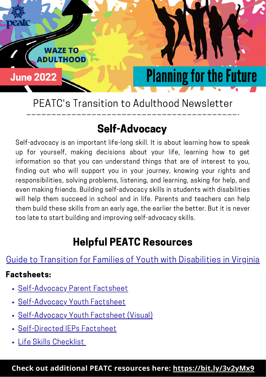

PEATC's Transition to Adulthood Newsletter

### Self-Advocacy

Self-advocacy is an important life-long skill. It is about learning how to speak up for yourself, making decisions about your life, learning how to get information so that you can understand things that are of interest to you, finding out who will support you in your journey, knowing your rights and responsibilities, solving problems, listening, and learning, asking for help, and even making friends. Building self-advocacy skills in students with disabilities will help them succeed in school and in life. Parents and teachers can help them build these skills from an early age, the earlier the better. But it is never too late to start building and improving self-advocacy skills.

### Helpful PEATC Resources

[Guide to Transition for Families of Youth with Disabilities in Virginia](https://peatc.org/transition-guide/) 

#### Factsheets:

- Self-Advocacy Parent Factsheet
- [Self-Advocacy Youth Factsheet](https://peatc.org/wp-content/uploads/2021/09/Self-Advocacy-Youth.pdf)
- [Self-Advocacy Youth Factsheet \(Visual\)](https://peatc.org/wp-content/uploads/2021/09/Self-Advocacy-Youth-Visual.pdf)   $\bullet$
- [Self-Directed IEPs Factsheet](https://peatc.org/wp-content/uploads/2022/01/Self-Directed-IEPs-Parent-Fact-Sheet.pdf)
- [Life Skills Checklist](https://peatc.org/wp-content/uploads/2021/07/Independent-Living-Life-Skills-Checklist-Booklet-ENGLISH-Interactive.pdf)

**Check out additional PEATC resources here: <https://bit.ly/3v2yMx9>**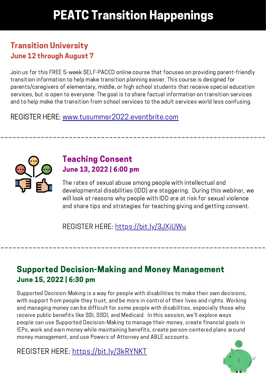## PEATC Transition Happenings

#### Transition University June 12 through August 7

Join us for this FREE 5-week SELF-PACED online course that focuses on providing parent-friendly transition information to help make transition planning easier. This course is designed for parents/caregivers of elementary, middle, or high school students that receive special education services, but is open to everyone. The goal is to share factual information on transition services and to help make the transition from school services to the adult services world less confusing.

REGISTER HERE: [www.tusummer2022.eventbrite.com](https://tusummer2022.eventbrite.com/) 



#### Teaching Consent June 3, 2022 | 6:00 pm

The rates of sexual abuse among people with intellectual and developmental disabilities (IDD) are staggering. During this webinar, we will look at reasons why people with IDD are at risk for sexual violence and share tips and strategies for teaching giving and getting consent.

REGISTER HERE: [https://bit.ly/3JXjUWu](https://us02web.zoom.us/webinar/register/WN_SbWFweqgTJ6fr5e1gH9voQ) 

#### Supported Decision-Making and Money Management June 5, 2022 | 6:30 pm

Supported Decision-Making is a way for people with disabilities to make their own decisions, with support from people they trust, and be more in control of their lives and rights. Working and managing money can be difficult for some people with disabilities, especially those who receive public benefits like SSI, SSDI, and Medicaid. In this session, we'll explore ways people can use Supported Decision-Making to manage their money, create financial goals in IEPs, work and earn money while maintaining benefits, create person-centered plans around money management, and use Powers of Attorney and ABLE accounts.

REGISTER HERE: [https://bit.ly/3kRYNKT](https://us02web.zoom.us/webinar/register/WN_Ods_Lgz5Tm-0tnDsVrCqNQ) 

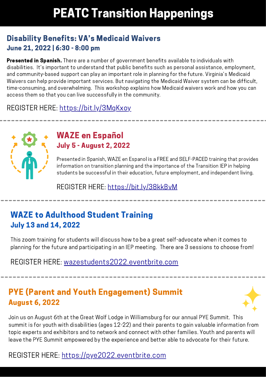## PEATC Transition Happenings

#### Disability Benefits: VA's Medicaid Waivers June 21, 2022 | 6:30 - 8:00 pm

 disabilities. It's important to understand that public benefits such as personal assistance, employment, time-consuming, and overwhelming. This workshop explains how Medicaid waivers work and how you can **Presented in Spanish.** There are a number of government benefits available to individuals with and community-based support can play an important role in planning for the future. Virginia's Medicaid Waivers can help provide important services. But navigating the Medicaid Waiver system can be difficult, access them so that you can live successfully in the community.

REGISTER HERE: [https://bit.ly/3MqKxoy](https://us02web.zoom.us/webinar/register/WN_SXPQrzmfTp6YxztHBJM1EA) 



#### WAZE en Español July 5 - August 2, 2022

Presented in Spanish, WAZE en Espanol is a FREE and SELF-PACED training that provides information on transition planning and the importance of the Transition IEP in helping students be successful in their education, future employment, and independent living.

REGISTER HERE: [https://bit.ly/38kkBvM](https://waze-a-la-adultez-22.eventbrite.com/) 

#### WAZE to Adulthood Student Training **July 13 and 14, 2022**

 planning for the future and participating in an IEP meeting. There are 3 sessions to choose from! This zoom training for students will discuss how to be a great self-advocate when it comes to

REGISTER HERE: [wazestudents2022.eventbrite.com](https://wazestudents2022.eventbrite.com/) 

#### PYE (Parent and Youth Engagement) Summit August 6, 2022



 Join us on August 6th at the Great Wolf Lodge in Williamsburg for our annual PYE Summit. This summit is for youth with disabilities (ages 2-22) and their parents to gain valuable information from topic experts and exhibitors and to network and connect with other families. Youth and parents will leave the PYE Summit empowered by the experience and better able to advocate for their future.

#### REGISTER HERE: [https://pye2022.eventbrite.com](https://pye2022.eventbrite.com/)